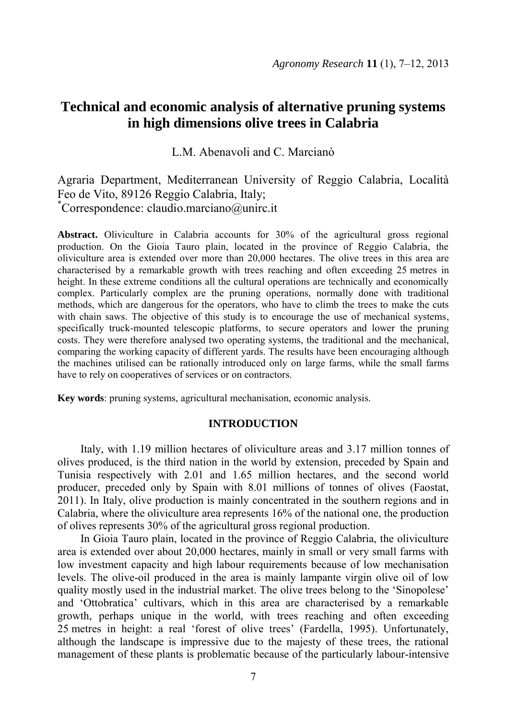# **Technical and economic analysis of alternative pruning systems in high dimensions olive trees in Calabria**

L.M. Abenavoli and C. Marcianò

Agraria Department, Mediterranean University of Reggio Calabria, Località Feo de Vito, 89126 Reggio Calabria, Italy;  ${}^{\dagger}$ Correspondence: claudio.marciano@unirc.it

**Abstract.** Oliviculture in Calabria accounts for 30% of the agricultural gross regional production. On the Gioia Tauro plain, located in the province of Reggio Calabria, the oliviculture area is extended over more than 20,000 hectares. The olive trees in this area are characterised by a remarkable growth with trees reaching and often exceeding 25 metres in height. In these extreme conditions all the cultural operations are technically and economically complex. Particularly complex are the pruning operations, normally done with traditional methods, which are dangerous for the operators, who have to climb the trees to make the cuts with chain saws. The objective of this study is to encourage the use of mechanical systems, specifically truck-mounted telescopic platforms, to secure operators and lower the pruning costs. They were therefore analysed two operating systems, the traditional and the mechanical, comparing the working capacity of different yards. The results have been encouraging although the machines utilised can be rationally introduced only on large farms, while the small farms have to rely on cooperatives of services or on contractors.

**Key words**: pruning systems, agricultural mechanisation, economic analysis.

# **INTRODUCTION**

Italy, with 1.19 million hectares of oliviculture areas and 3.17 million tonnes of olives produced, is the third nation in the world by extension, preceded by Spain and Tunisia respectively with 2.01 and 1.65 million hectares, and the second world producer, preceded only by Spain with 8.01 millions of tonnes of olives (Faostat, 2011). In Italy, olive production is mainly concentrated in the southern regions and in Calabria, where the oliviculture area represents 16% of the national one, the production of olives represents 30% of the agricultural gross regional production.

In Gioia Tauro plain, located in the province of Reggio Calabria, the oliviculture area is extended over about 20,000 hectares, mainly in small or very small farms with low investment capacity and high labour requirements because of low mechanisation levels. The olive-oil produced in the area is mainly lampante virgin olive oil of low quality mostly used in the industrial market. The olive trees belong to the 'Sinopolese' and 'Ottobratica' cultivars, which in this area are characterised by a remarkable growth, perhaps unique in the world, with trees reaching and often exceeding 25 metres in height: a real 'forest of olive trees' (Fardella, 1995). Unfortunately, although the landscape is impressive due to the majesty of these trees, the rational management of these plants is problematic because of the particularly labour-intensive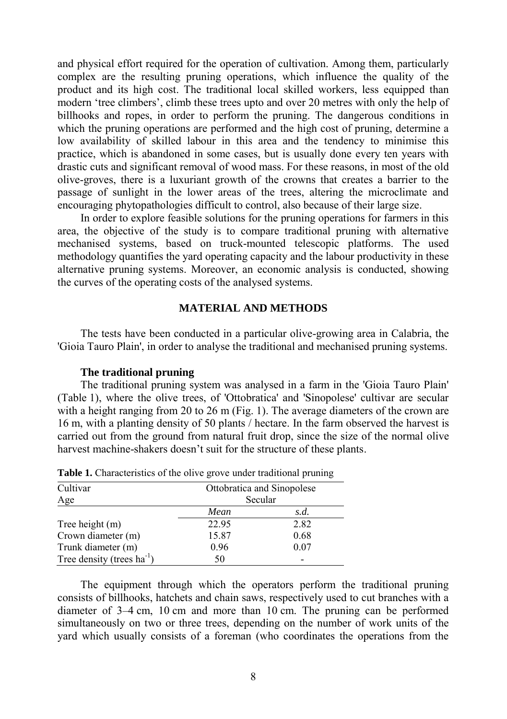and physical effort required for the operation of cultivation. Among them, particularly complex are the resulting pruning operations, which influence the quality of the product and its high cost. The traditional local skilled workers, less equipped than modern 'tree climbers', climb these trees upto and over 20 metres with only the help of billhooks and ropes, in order to perform the pruning. The dangerous conditions in which the pruning operations are performed and the high cost of pruning, determine a low availability of skilled labour in this area and the tendency to minimise this practice, which is abandoned in some cases, but is usually done every ten years with drastic cuts and significant removal of wood mass. For these reasons, in most of the old olive-groves, there is a luxuriant growth of the crowns that creates a barrier to the passage of sunlight in the lower areas of the trees, altering the microclimate and encouraging phytopathologies difficult to control, also because of their large size.

In order to explore feasible solutions for the pruning operations for farmers in this area, the objective of the study is to compare traditional pruning with alternative mechanised systems, based on truck-mounted telescopic platforms. The used methodology quantifies the yard operating capacity and the labour productivity in these alternative pruning systems. Moreover, an economic analysis is conducted, showing the curves of the operating costs of the analysed systems.

#### **MATERIAL AND METHODS**

The tests have been conducted in a particular olive-growing area in Calabria, the 'Gioia Tauro Plain', in order to analyse the traditional and mechanised pruning systems.

#### **The traditional pruning**

The traditional pruning system was analysed in a farm in the 'Gioia Tauro Plain' (Table 1), where the olive trees, of 'Ottobratica' and 'Sinopolese' cultivar are secular with a height ranging from 20 to 26 m (Fig. 1). The average diameters of the crown are 16 m, with a planting density of 50 plants / hectare. In the farm observed the harvest is carried out from the ground from natural fruit drop, since the size of the normal olive harvest machine-shakers doesn't suit for the structure of these plants.

| Cultivar                        | Ottobratica and Sinopolese |      |  |
|---------------------------------|----------------------------|------|--|
| Age                             | Secular                    |      |  |
|                                 | Mean                       | s.d. |  |
| Tree height (m)                 | 22.95                      | 2.82 |  |
| Crown diameter (m)              | 15.87                      | 0.68 |  |
| Trunk diameter (m)              | 0.96                       | 0.07 |  |
| Tree density (trees $ha^{-1}$ ) | 50                         |      |  |

**Table 1.** Characteristics of the olive grove under traditional pruning

The equipment through which the operators perform the traditional pruning consists of billhooks, hatchets and chain saws, respectively used to cut branches with a diameter of 3–4 cm, 10 cm and more than 10 cm. The pruning can be performed simultaneously on two or three trees, depending on the number of work units of the yard which usually consists of a foreman (who coordinates the operations from the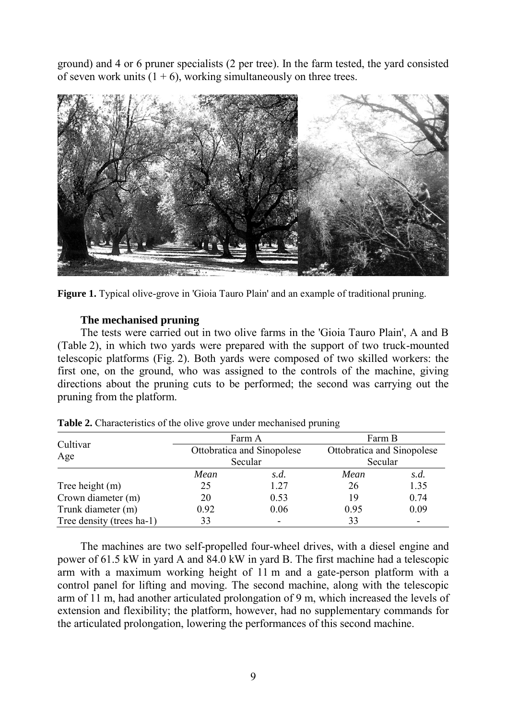ground) and 4 or 6 pruner specialists (2 per tree). In the farm tested, the yard consisted of seven work units  $(1 + 6)$ , working simultaneously on three trees.



**Figure 1.** Typical olive-grove in 'Gioia Tauro Plain' and an example of traditional pruning.

# **The mechanised pruning**

The tests were carried out in two olive farms in the 'Gioia Tauro Plain', A and B (Table 2), in which two yards were prepared with the support of two truck-mounted telescopic platforms (Fig. 2). Both yards were composed of two skilled workers: the first one, on the ground, who was assigned to the controls of the machine, giving directions about the pruning cuts to be performed; the second was carrying out the pruning from the platform.

|                           |      | Farm A                                | Farm B<br>Ottobratica and Sinopolese<br>Secular |      |
|---------------------------|------|---------------------------------------|-------------------------------------------------|------|
| Cultivar<br>Age           |      | Ottobratica and Sinopolese<br>Secular |                                                 |      |
|                           | Mean | s.d.                                  | Mean                                            | s.d. |
| Tree height (m)           | 25   | 1.27                                  | 26                                              | 1.35 |
| Crown diameter (m)        | 20   | 0.53                                  | 19                                              | 0.74 |
| Trunk diameter (m)        | 0.92 | 0.06                                  | 0.95                                            | 0.09 |
| Tree density (trees ha-1) | 33   |                                       | 33                                              | -    |

**Table 2.** Characteristics of the olive grove under mechanised pruning

The machines are two self-propelled four-wheel drives, with a diesel engine and power of 61.5 kW in yard A and 84.0 kW in yard B. The first machine had a telescopic arm with a maximum working height of 11 m and a gate-person platform with a control panel for lifting and moving. The second machine, along with the telescopic arm of 11 m, had another articulated prolongation of 9 m, which increased the levels of extension and flexibility; the platform, however, had no supplementary commands for the articulated prolongation, lowering the performances of this second machine.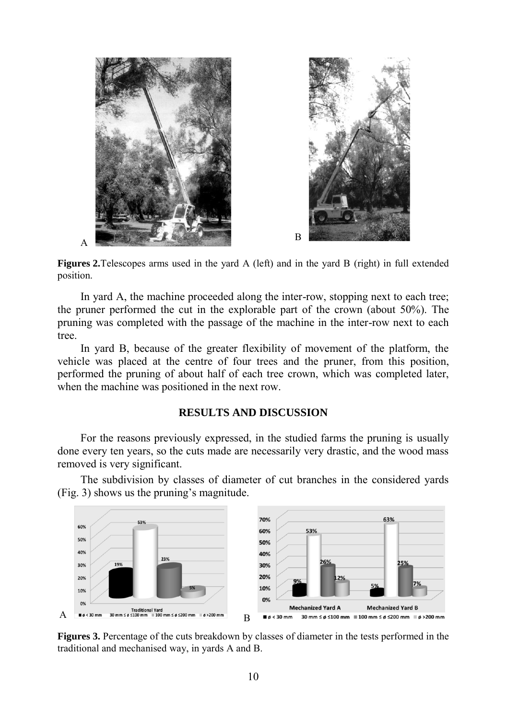

**Figures 2.**Telescopes arms used in the yard A (left) and in the yard B (right) in full extended position.

In yard A, the machine proceeded along the inter-row, stopping next to each tree; the pruner performed the cut in the explorable part of the crown (about 50%). The pruning was completed with the passage of the machine in the inter-row next to each tree.

In yard B, because of the greater flexibility of movement of the platform, the vehicle was placed at the centre of four trees and the pruner, from this position, performed the pruning of about half of each tree crown, which was completed later, when the machine was positioned in the next row.

# **RESULTS AND DISCUSSION**

For the reasons previously expressed, in the studied farms the pruning is usually done every ten years, so the cuts made are necessarily very drastic, and the wood mass removed is very significant.

The subdivision by classes of diameter of cut branches in the considered yards (Fig. 3) shows us the pruning's magnitude.



**Figures 3.** Percentage of the cuts breakdown by classes of diameter in the tests performed in the traditional and mechanised way, in yards A and B.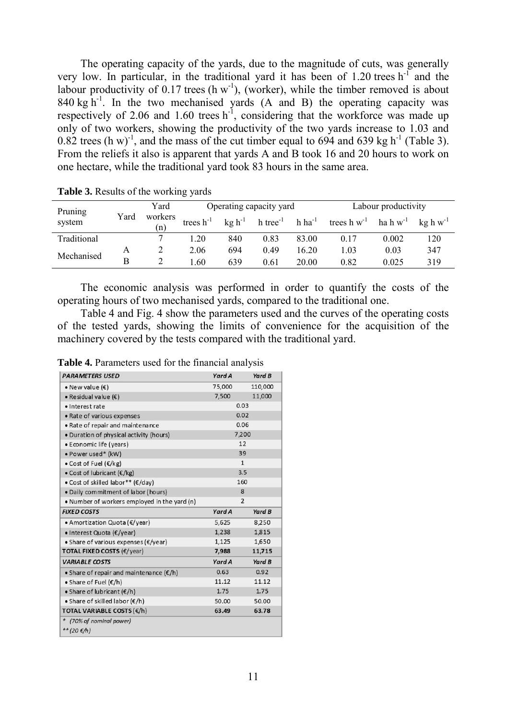The operating capacity of the yards, due to the magnitude of cuts, was generally very low. In particular, in the traditional yard it has been of  $1.20$  trees h<sup>-1</sup> and the labour productivity of  $0.17$  trees (h w<sup>-1</sup>), (worker), while the timber removed is about  $840 \text{ kg h}^{-1}$ . In the two mechanised vards (A and B) the operating capacity was respectively of 2.06 and 1.60 trees  $h^{-1}$ , considering that the workforce was made up only of two workers, showing the productivity of the two yards increase to 1.03 and 0.82 trees (h w)<sup>-1</sup>, and the mass of the cut timber equal to 694 and 639 kg h<sup>-1</sup> (Table 3). From the reliefs it also is apparent that yards A and B took 16 and 20 hours to work on one hectare, while the traditional yard took 83 hours in the same area.

| Pruning        |                | Yard           | Labour productivity<br>Operating capacity yard |                        |                |                  |               |                     |     |
|----------------|----------------|----------------|------------------------------------------------|------------------------|----------------|------------------|---------------|---------------------|-----|
| Yard<br>system | workers<br>(n) | trees $h^{-1}$ | $kg h^{-1}$                                    | $h$ tree <sup>-1</sup> | $h \, ha^{-1}$ | trees $h w^{-1}$ | ha h $w^{-1}$ | $k\varrho h w^{-1}$ |     |
| Traditional    |                |                | 1.20                                           | 840                    | 0.83           | 83.00            | 0.17          | 0.002               | 120 |
| Mechanised     | А              |                | 2.06                                           | 694                    | 0.49           | 16.20            | 1.03          | 0.03                | 347 |
|                | В              |                | .60                                            | 639                    | 0.61           | 20.00            | 0.82          | 0.025               | 319 |

**Table 3.** Results of the working yards

The economic analysis was performed in order to quantify the costs of the operating hours of two mechanised yards, compared to the traditional one.

Table 4 and Fig. 4 show the parameters used and the curves of the operating costs of the tested yards, showing the limits of convenience for the acquisition of the machinery covered by the tests compared with the traditional yard.

|  | Table 4. Parameters used for the financial analysis |  |  |  |  |
|--|-----------------------------------------------------|--|--|--|--|
|--|-----------------------------------------------------|--|--|--|--|

| <b>PARAMETERS USED</b>                            | Yard A          | Yard B         |  |  |
|---------------------------------------------------|-----------------|----------------|--|--|
| • New value $(\epsilon)$                          | 75,000          | 110,000        |  |  |
| • Residual value $(E)$                            | 7,500           | 11,000         |  |  |
| · Interest rate                                   |                 | 0.03           |  |  |
| • Rate of various expenses                        | 0.02            |                |  |  |
| • Rate of repair and maintenance                  | 0.06            |                |  |  |
| . Duration of physical activity (hours)           | 7,200           |                |  |  |
| • Economic life (years)                           | 12              |                |  |  |
| • Power used* (kW)                                |                 | 39             |  |  |
| • Cost of Fuel $(\epsilon/kg)$                    | $\mathbf{1}$    |                |  |  |
| • Cost of lubricant $(\epsilon / kg)$             | 3.5             |                |  |  |
| • Cost of skilled labor** ( $\epsilon$ /day)      |                 | 160            |  |  |
| . Daily commitment of labor (hours)               |                 | 8              |  |  |
| • Number of workers employed in the yard (n)      |                 | $\overline{2}$ |  |  |
| <b>FIXED COSTS</b>                                | Yard A          | Yard B         |  |  |
| $\bullet$ Amortization Quota ( $\epsilon$ /year)  | 5,625           | 8,250          |  |  |
| • Interest Quota (€/year)                         | 1,238           | 1,815          |  |  |
| • Share of various expenses ( $\epsilon$ /year)   | 1,125           | 1,650          |  |  |
| <b>TOTAL FIXED COSTS (€/year)</b>                 | 7,988<br>11,715 |                |  |  |
| <b>VARIABLE COSTS</b>                             | Yard A          | Yard B         |  |  |
| • Share of repair and maintenance $(\epsilon/h)$  | 0.63            | 0.92           |  |  |
|                                                   | 11.12           | 11.12          |  |  |
| • Share of Fuel $(E/h)$                           |                 |                |  |  |
| • Share of lubricant $(\epsilon/h)$               | 1.75            | 1.75           |  |  |
| $\bullet$ Share of skilled labor ( $\epsilon$ /h) | 50.00           | 50.00          |  |  |